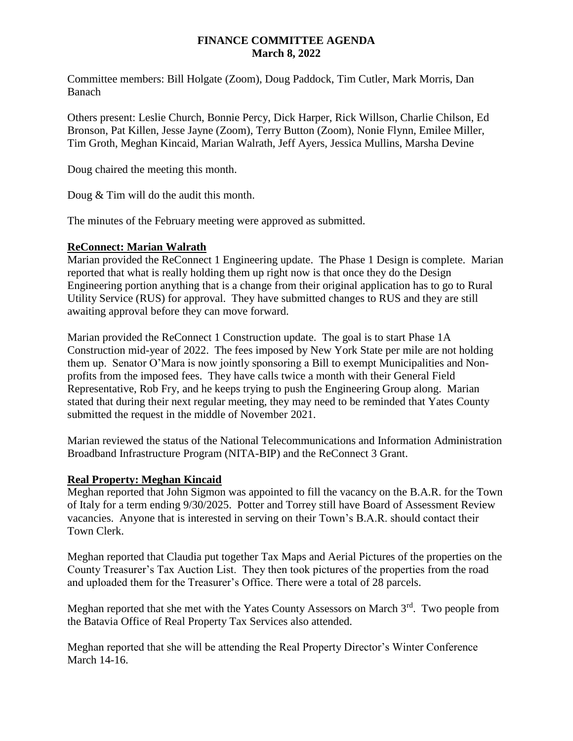#### **FINANCE COMMITTEE AGENDA March 8, 2022**

Committee members: Bill Holgate (Zoom), Doug Paddock, Tim Cutler, Mark Morris, Dan Banach

Others present: Leslie Church, Bonnie Percy, Dick Harper, Rick Willson, Charlie Chilson, Ed Bronson, Pat Killen, Jesse Jayne (Zoom), Terry Button (Zoom), Nonie Flynn, Emilee Miller, Tim Groth, Meghan Kincaid, Marian Walrath, Jeff Ayers, Jessica Mullins, Marsha Devine

Doug chaired the meeting this month.

Doug & Tim will do the audit this month.

The minutes of the February meeting were approved as submitted.

#### **ReConnect: Marian Walrath**

Marian provided the ReConnect 1 Engineering update. The Phase 1 Design is complete. Marian reported that what is really holding them up right now is that once they do the Design Engineering portion anything that is a change from their original application has to go to Rural Utility Service (RUS) for approval. They have submitted changes to RUS and they are still awaiting approval before they can move forward.

Marian provided the ReConnect 1 Construction update. The goal is to start Phase 1A Construction mid-year of 2022. The fees imposed by New York State per mile are not holding them up. Senator O'Mara is now jointly sponsoring a Bill to exempt Municipalities and Nonprofits from the imposed fees. They have calls twice a month with their General Field Representative, Rob Fry, and he keeps trying to push the Engineering Group along. Marian stated that during their next regular meeting, they may need to be reminded that Yates County submitted the request in the middle of November 2021.

Marian reviewed the status of the National Telecommunications and Information Administration Broadband Infrastructure Program (NITA-BIP) and the ReConnect 3 Grant.

# **Real Property: Meghan Kincaid**

Meghan reported that John Sigmon was appointed to fill the vacancy on the B.A.R. for the Town of Italy for a term ending 9/30/2025. Potter and Torrey still have Board of Assessment Review vacancies. Anyone that is interested in serving on their Town's B.A.R. should contact their Town Clerk.

Meghan reported that Claudia put together Tax Maps and Aerial Pictures of the properties on the County Treasurer's Tax Auction List. They then took pictures of the properties from the road and uploaded them for the Treasurer's Office. There were a total of 28 parcels.

Meghan reported that she met with the Yates County Assessors on March 3<sup>rd</sup>. Two people from the Batavia Office of Real Property Tax Services also attended.

Meghan reported that she will be attending the Real Property Director's Winter Conference March 14-16.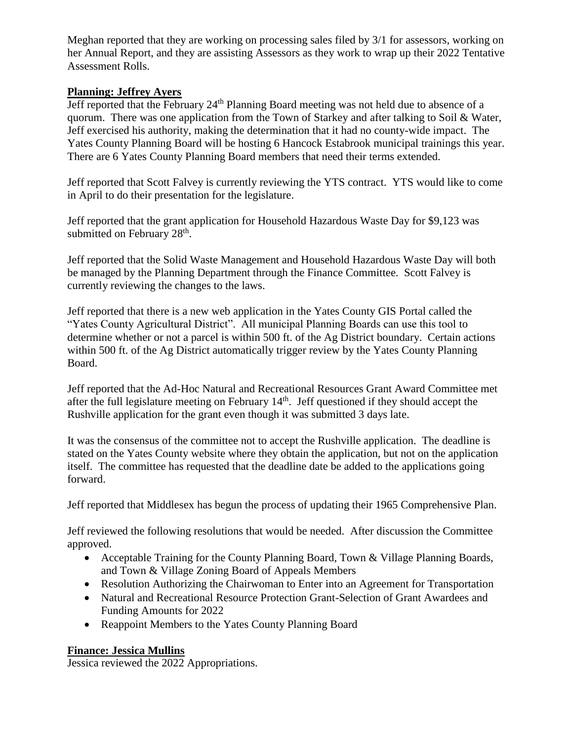Meghan reported that they are working on processing sales filed by 3/1 for assessors, working on her Annual Report, and they are assisting Assessors as they work to wrap up their 2022 Tentative Assessment Rolls.

# **Planning: Jeffrey Ayers**

Jeff reported that the February 24th Planning Board meeting was not held due to absence of a quorum. There was one application from the Town of Starkey and after talking to Soil & Water, Jeff exercised his authority, making the determination that it had no county-wide impact. The Yates County Planning Board will be hosting 6 Hancock Estabrook municipal trainings this year. There are 6 Yates County Planning Board members that need their terms extended.

Jeff reported that Scott Falvey is currently reviewing the YTS contract. YTS would like to come in April to do their presentation for the legislature.

Jeff reported that the grant application for Household Hazardous Waste Day for \$9,123 was submitted on February 28<sup>th</sup>.

Jeff reported that the Solid Waste Management and Household Hazardous Waste Day will both be managed by the Planning Department through the Finance Committee. Scott Falvey is currently reviewing the changes to the laws.

Jeff reported that there is a new web application in the Yates County GIS Portal called the "Yates County Agricultural District". All municipal Planning Boards can use this tool to determine whether or not a parcel is within 500 ft. of the Ag District boundary. Certain actions within 500 ft. of the Ag District automatically trigger review by the Yates County Planning Board.

Jeff reported that the Ad-Hoc Natural and Recreational Resources Grant Award Committee met after the full legislature meeting on February  $14<sup>th</sup>$ . Jeff questioned if they should accept the Rushville application for the grant even though it was submitted 3 days late.

It was the consensus of the committee not to accept the Rushville application. The deadline is stated on the Yates County website where they obtain the application, but not on the application itself. The committee has requested that the deadline date be added to the applications going forward.

Jeff reported that Middlesex has begun the process of updating their 1965 Comprehensive Plan.

Jeff reviewed the following resolutions that would be needed. After discussion the Committee approved.

- Acceptable Training for the County Planning Board, Town & Village Planning Boards, and Town & Village Zoning Board of Appeals Members
- Resolution Authorizing the Chairwoman to Enter into an Agreement for Transportation
- Natural and Recreational Resource Protection Grant-Selection of Grant Awardees and Funding Amounts for 2022
- Reappoint Members to the Yates County Planning Board

# **Finance: Jessica Mullins**

Jessica reviewed the 2022 Appropriations.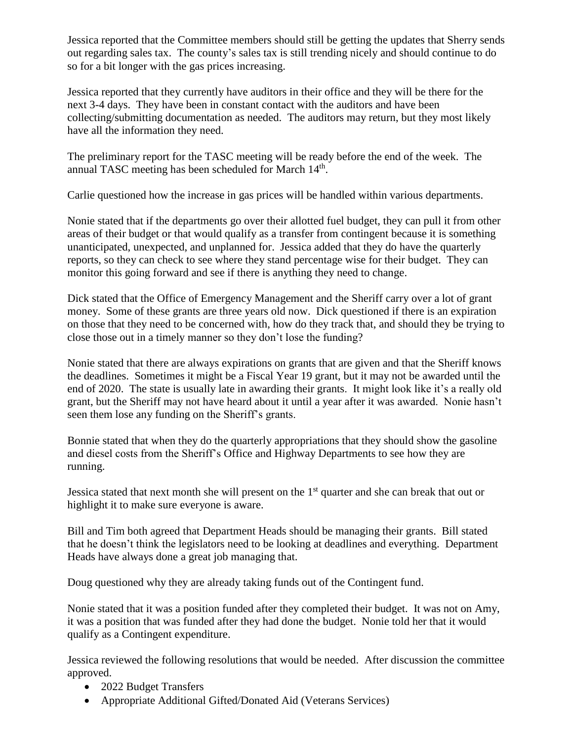Jessica reported that the Committee members should still be getting the updates that Sherry sends out regarding sales tax. The county's sales tax is still trending nicely and should continue to do so for a bit longer with the gas prices increasing.

Jessica reported that they currently have auditors in their office and they will be there for the next 3-4 days. They have been in constant contact with the auditors and have been collecting/submitting documentation as needed. The auditors may return, but they most likely have all the information they need.

The preliminary report for the TASC meeting will be ready before the end of the week. The annual TASC meeting has been scheduled for March 14<sup>th</sup>.

Carlie questioned how the increase in gas prices will be handled within various departments.

Nonie stated that if the departments go over their allotted fuel budget, they can pull it from other areas of their budget or that would qualify as a transfer from contingent because it is something unanticipated, unexpected, and unplanned for. Jessica added that they do have the quarterly reports, so they can check to see where they stand percentage wise for their budget. They can monitor this going forward and see if there is anything they need to change.

Dick stated that the Office of Emergency Management and the Sheriff carry over a lot of grant money. Some of these grants are three years old now. Dick questioned if there is an expiration on those that they need to be concerned with, how do they track that, and should they be trying to close those out in a timely manner so they don't lose the funding?

Nonie stated that there are always expirations on grants that are given and that the Sheriff knows the deadlines. Sometimes it might be a Fiscal Year 19 grant, but it may not be awarded until the end of 2020. The state is usually late in awarding their grants. It might look like it's a really old grant, but the Sheriff may not have heard about it until a year after it was awarded. Nonie hasn't seen them lose any funding on the Sheriff's grants.

Bonnie stated that when they do the quarterly appropriations that they should show the gasoline and diesel costs from the Sheriff's Office and Highway Departments to see how they are running.

Jessica stated that next month she will present on the 1<sup>st</sup> quarter and she can break that out or highlight it to make sure everyone is aware.

Bill and Tim both agreed that Department Heads should be managing their grants. Bill stated that he doesn't think the legislators need to be looking at deadlines and everything. Department Heads have always done a great job managing that.

Doug questioned why they are already taking funds out of the Contingent fund.

Nonie stated that it was a position funded after they completed their budget. It was not on Amy, it was a position that was funded after they had done the budget. Nonie told her that it would qualify as a Contingent expenditure.

Jessica reviewed the following resolutions that would be needed. After discussion the committee approved.

- 2022 Budget Transfers
- Appropriate Additional Gifted/Donated Aid (Veterans Services)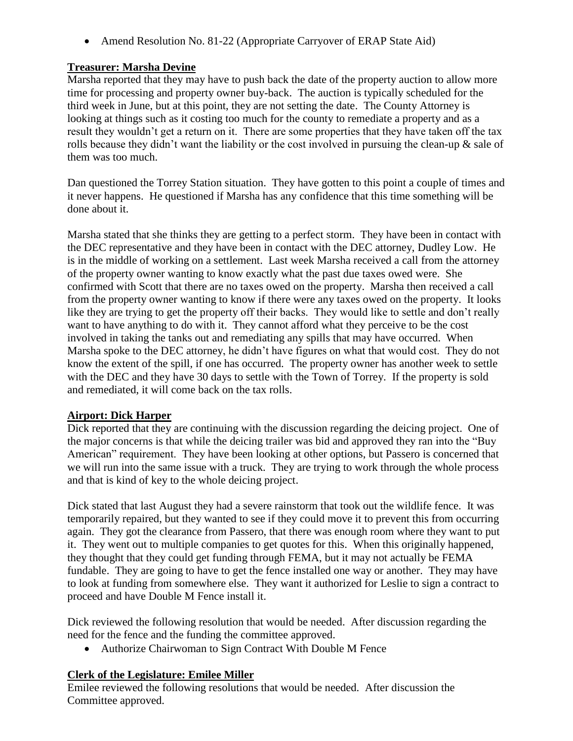• Amend Resolution No. 81-22 (Appropriate Carryover of ERAP State Aid)

# **Treasurer: Marsha Devine**

Marsha reported that they may have to push back the date of the property auction to allow more time for processing and property owner buy-back. The auction is typically scheduled for the third week in June, but at this point, they are not setting the date. The County Attorney is looking at things such as it costing too much for the county to remediate a property and as a result they wouldn't get a return on it. There are some properties that they have taken off the tax rolls because they didn't want the liability or the cost involved in pursuing the clean-up & sale of them was too much.

Dan questioned the Torrey Station situation. They have gotten to this point a couple of times and it never happens. He questioned if Marsha has any confidence that this time something will be done about it.

Marsha stated that she thinks they are getting to a perfect storm. They have been in contact with the DEC representative and they have been in contact with the DEC attorney, Dudley Low. He is in the middle of working on a settlement. Last week Marsha received a call from the attorney of the property owner wanting to know exactly what the past due taxes owed were. She confirmed with Scott that there are no taxes owed on the property. Marsha then received a call from the property owner wanting to know if there were any taxes owed on the property. It looks like they are trying to get the property off their backs. They would like to settle and don't really want to have anything to do with it. They cannot afford what they perceive to be the cost involved in taking the tanks out and remediating any spills that may have occurred. When Marsha spoke to the DEC attorney, he didn't have figures on what that would cost. They do not know the extent of the spill, if one has occurred. The property owner has another week to settle with the DEC and they have 30 days to settle with the Town of Torrey. If the property is sold and remediated, it will come back on the tax rolls.

# **Airport: Dick Harper**

Dick reported that they are continuing with the discussion regarding the deicing project. One of the major concerns is that while the deicing trailer was bid and approved they ran into the "Buy American" requirement. They have been looking at other options, but Passero is concerned that we will run into the same issue with a truck. They are trying to work through the whole process and that is kind of key to the whole deicing project.

Dick stated that last August they had a severe rainstorm that took out the wildlife fence. It was temporarily repaired, but they wanted to see if they could move it to prevent this from occurring again. They got the clearance from Passero, that there was enough room where they want to put it. They went out to multiple companies to get quotes for this. When this originally happened, they thought that they could get funding through FEMA, but it may not actually be FEMA fundable. They are going to have to get the fence installed one way or another. They may have to look at funding from somewhere else. They want it authorized for Leslie to sign a contract to proceed and have Double M Fence install it.

Dick reviewed the following resolution that would be needed. After discussion regarding the need for the fence and the funding the committee approved.

Authorize Chairwoman to Sign Contract With Double M Fence

# **Clerk of the Legislature: Emilee Miller**

Emilee reviewed the following resolutions that would be needed. After discussion the Committee approved.